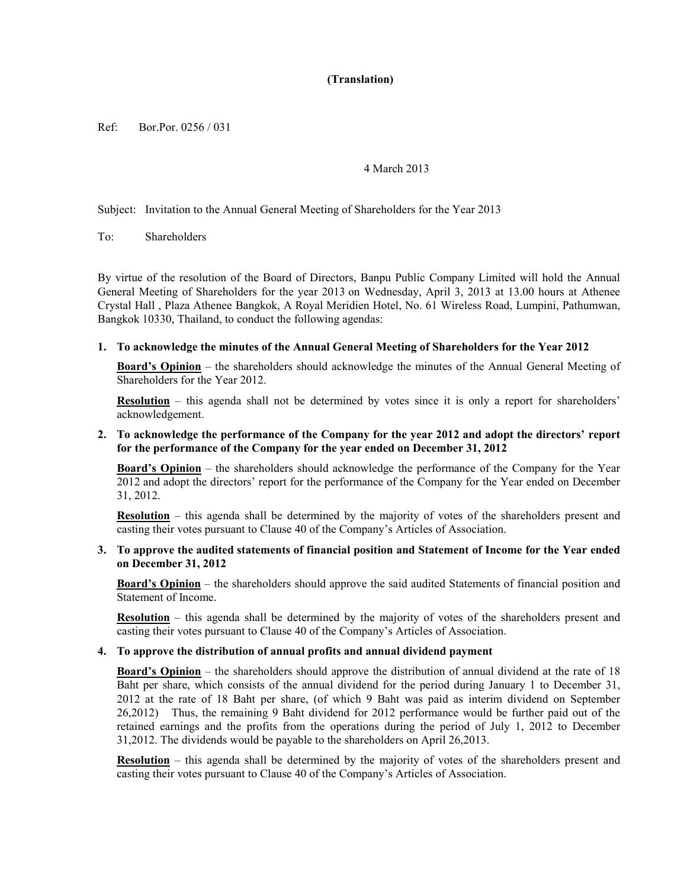# **(Translation)**

Ref: Bor.Por. 0256 / 031

#### 4 March 2013

Subject: Invitation to the Annual General Meeting of Shareholders for the Year 2013

To: Shareholders

By virtue of the resolution of the Board of Directors, Banpu Public Company Limited will hold the Annual General Meeting of Shareholders for the year 2013 on Wednesday, April 3, 2013 at 13.00 hours at Athenee Crystal Hall , Plaza Athenee Bangkok, A Royal Meridien Hotel, No. 61 Wireless Road, Lumpini, Pathumwan, Bangkok 10330, Thailand, to conduct the following agendas:

#### **1. To acknowledge the minutes of the Annual General Meeting of Shareholders for the Year 2012**

**Board's Opinion** – the shareholders should acknowledge the minutes of the Annual General Meeting of Shareholders for the Year 2012.

**Resolution** – this agenda shall not be determined by votes since it is only a report for shareholders' acknowledgement.

### **2. To acknowledge the performance of the Company for the year 2012 and adopt the directors' report for the performance of the Company for the year ended on December 31, 2012**

**Board's Opinion** – the shareholders should acknowledge the performance of the Company for the Year 2012 and adopt the directors' report for the performance of the Company for the Year ended on December 31, 2012.

**Resolution** – this agenda shall be determined by the majority of votes of the shareholders present and casting their votes pursuant to Clause 40 of the Company's Articles of Association.

#### **3. To approve the audited statements of financial position and Statement of Income for the Year ended on December 31, 2012**

**Board's Opinion** – the shareholders should approve the said audited Statements of financial position and Statement of Income.

**Resolution** – this agenda shall be determined by the majority of votes of the shareholders present and casting their votes pursuant to Clause 40 of the Company's Articles of Association.

#### **4. To approve the distribution of annual profits and annual dividend payment**

**Board's Opinion** – the shareholders should approve the distribution of annual dividend at the rate of 18 Baht per share, which consists of the annual dividend for the period during January 1 to December 31, 2012 at the rate of 18 Baht per share, (of which 9 Baht was paid as interim dividend on September 26,2012) Thus, the remaining 9 Baht dividend for 2012 performance would be further paid out of the retained earnings and the profits from the operations during the period of July 1, 2012 to December 31,2012. The dividends would be payable to the shareholders on April 26,2013.

**Resolution** – this agenda shall be determined by the majority of votes of the shareholders present and casting their votes pursuant to Clause 40 of the Company's Articles of Association.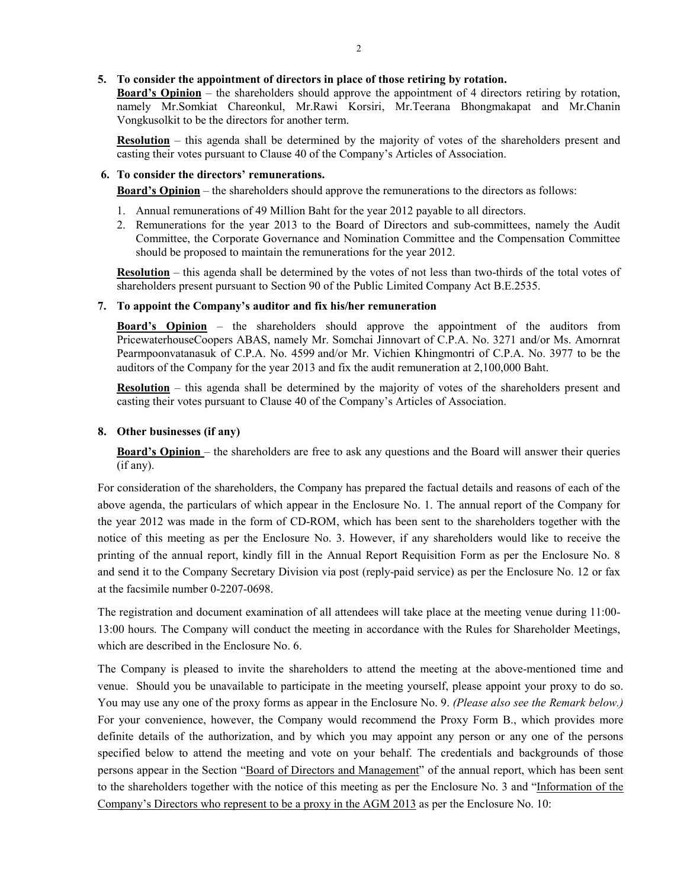### **5. To consider the appointment of directors in place of those retiring by rotation.**

**Board's Opinion** – the shareholders should approve the appointment of 4 directors retiring by rotation, namely Mr.Somkiat Chareonkul, Mr.Rawi Korsiri, Mr.Teerana Bhongmakapat and Mr.Chanin Vongkusolkit to be the directors for another term.

**Resolution** – this agenda shall be determined by the majority of votes of the shareholders present and casting their votes pursuant to Clause 40 of the Company's Articles of Association.

## **6. To consider the directors' remunerations.**

**Board's Opinion** – the shareholders should approve the remunerations to the directors as follows:

- 1. Annual remunerations of 49 Million Baht for the year 2012 payable to all directors.
- 2. Remunerations for the year 2013 to the Board of Directors and sub-committees, namely the Audit Committee, the Corporate Governance and Nomination Committee and the Compensation Committee should be proposed to maintain the remunerations for the year 2012.

**Resolution** – this agenda shall be determined by the votes of not less than two-thirds of the total votes of shareholders present pursuant to Section 90 of the Public Limited Company Act B.E.2535.

## **7. To appoint the Company's auditor and fix his/her remuneration**

**Board's Opinion** – the shareholders should approve the appointment of the auditors from PricewaterhouseCoopers ABAS, namely Mr. Somchai Jinnovart of C.P.A. No. 3271 and/or Ms. Amornrat Pearmpoonvatanasuk of C.P.A. No. 4599 and/or Mr. Vichien Khingmontri of C.P.A. No. 3977 to be the auditors of the Company for the year 2013 and fix the audit remuneration at 2,100,000 Baht.

**Resolution** – this agenda shall be determined by the majority of votes of the shareholders present and casting their votes pursuant to Clause 40 of the Company's Articles of Association.

## **8. Other businesses (if any)**

**Board's Opinion** – the shareholders are free to ask any questions and the Board will answer their queries (if any).

For consideration of the shareholders, the Company has prepared the factual details and reasons of each of the above agenda, the particulars of which appear in the Enclosure No. 1. The annual report of the Company for the year 2012 was made in the form of CD-ROM, which has been sent to the shareholders together with the notice of this meeting as per the Enclosure No. 3. However, if any shareholders would like to receive the printing of the annual report, kindly fill in the Annual Report Requisition Form as per the Enclosure No. 8 and send it to the Company Secretary Division via post (reply-paid service) as per the Enclosure No. 12 or fax at the facsimile number 0-2207-0698.

The registration and document examination of all attendees will take place at the meeting venue during 11:00- 13:00 hours. The Company will conduct the meeting in accordance with the Rules for Shareholder Meetings, which are described in the Enclosure No. 6.

The Company is pleased to invite the shareholders to attend the meeting at the above-mentioned time and venue. Should you be unavailable to participate in the meeting yourself, please appoint your proxy to do so. You may use any one of the proxy forms as appear in the Enclosure No. 9. *(Please also see the Remark below.)* For your convenience, however, the Company would recommend the Proxy Form B., which provides more definite details of the authorization, and by which you may appoint any person or any one of the persons specified below to attend the meeting and vote on your behalf. The credentials and backgrounds of those persons appear in the Section "Board of Directors and Management" of the annual report, which has been sent to the shareholders together with the notice of this meeting as per the Enclosure No. 3 and "Information of the Company's Directors who represent to be a proxy in the AGM 2013 as per the Enclosure No. 10: